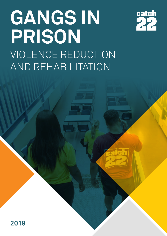# **GANGS IN PRISON**  VIOLENCE REDUCTION AND REHABILITATION



**2019**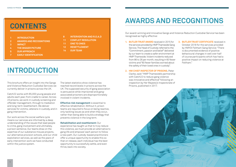# **INTRODUCTION**

This brochure offers an insight into the Gangs and Violence Reduction Custodial Services we currently deliver in prisons across the UK.

Catch22 works with 65,000 young people and adults each year, from cradle to career. Across 23 prisons, we work in custody screening and offender management, through to mediation and long-term resettlement. We deliver services for victims, veterans in custody, and in gang intervention.

Our work across the social welfare cycle means our services are informed by a deep understanding of the issues that lead people to crime, gang involvement and ultimately, a prison sentence. Our teams draw on the expertise of our substance misuse projects, our alternative provision schools, and our child exploitation services, as well as the years of early intervention work we have conducted within the justice system.

The latest statistics show violence has reached record levels in prisons across the UK. The supposed security of gang association is persuasive while imprisoned and gangassociated prisoners are disproportionately involved in violent incidents.

**Effective risk management** is essential to effective rehabilitation. Without it, prison teams are required to focus on being reactive, only tackling issues as and when they occur, rather than being able to build a strategy that prevents violence in the long term.

- 1. **BUTLER TRUST AWARD** received in 2015 for the services provided by HMP Thameside Gang Service. The Head of Custody referred to the "Commitment, passion and belief" delivered by our team to create a safer environment at HMP Thameside. Violent incidents reduced from 86 to 26 per month, resulting in 60 fewer victims and "60 fewer families worried about the safety of their loved ones in custody".
- **2. HM CHIEF INSPECTOR OF PRISONS**, Peter Clarke, said: "HMP Thameside's partnership with Catch22 to reduce gang violence was innovative and effective" following an inspection by Her Majesty's Inspectorate of Prisons, published in 2017.



#### **Rehabilitation and resettlement:** Our

experience has taught us that to truly reduce this violence, we must provide an alternative to gang life and empower each person to follow a new path. Our custody-based practitioners offer a unique opportunity to enable this so that on release, each individual has the best opportunity to successfully settle, and even thrive, back into society.

# **CONTENTS**

#### **1 INTRODUCTION**

- **2 AWARDS AND RECOGNITIONS**
- **3 IMPACT**
- **4 THE BIGGER PICTURE**
- **5 OUR APPROACH**
- **7 EARLY IDENTIFICATION**

#### **8 INTERVENTION AND R.O.A.D**

- **11 CONFLICT RESOLUTION**
- **11 ONE TO ONES**
- **12 RESETTLEMENT**
- **14 OUR TEAM**

# **AWARDS AND RECOGNITIONS**

Our award-winning and innovative Gangs and Violence Reduction Custodial Service has been recognised as highly effective:

> **3. BUTLER TRUST CERTIFICATE** received in October 2018 for the services provided by HMYOI Feltham Gang Service: "There is documented evidence of positive behavioural changes in well over half of course participants which has had a positive impact on reducing violence at Feltham."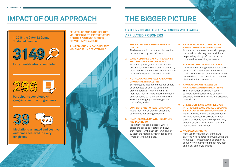**1. THE REGION THE PRISON SERVES IS UNIQUE**

The issues within the community need to be understood by practitioners.

**2. GANG NOMINALS MAY NOT RECOGNISE THAT THEY ARE PART OF A GANG**

Particularly with young gang-affiliated prisoners, they may have been groomed by older members and not yet understand the nature of the group they are involved in.

### **3. NOT ALL GANG NOMINALS ARE AWARE OF WHO THEIR RIVALS ARE**

Screening and induction meetings should be conducted as soon as possible to prevent potential rivals meeting. An individual may not have met the members of other gangs but their identity may be known to rival gang members, placing their safety at risk.

**4. CONFLICTS ARE FOREVER CHANGING** Rivals may now be allies in prison and allegiances can change overnight.

### **5. KEEPING AN EYE ON WHO PRISONERS ARE TALKING TO**

Practitioners should observe where prisoners ask to be located, and how they interact with each other, which can suggest the hierarchy within gangs and where potential risks are.

### **6. EACH PERSON HAS OTHER ISSUES BEYOND THEIR GANG-AFFILIATION** Aside from their association with gangs,

these individuals may need additional help dealing with grief, trauma or the violence they have likely witnessed.

### **7. BUILDING TRUST IS HOW WE LEARN**

Only through trusting relationships can we draw out information and join the dots. It is imperative to set boundaries on what is shared and to be conscious of how we disclose it when necessary.

### **8. KNOW ABOUT ANY ALIASES OR NICKNAMES A PERSON MIGHT HAVE**

This information will make it easier to follow conversations had between prisoners and the conversations prisoners have with you.

### **9. ONLINE CONFLICTS CAN SPILL OVER INTO REAL LIFE AND SOCIAL MEDIA CAN BE A CATALYST FOR SERIOUS VIOLENCE**

Although those within the prison should not have access, new arrivals or those talking to friends outside the prison may become aware of information regarding individuals or rival groups.

### **10. AVOID ASSUMPTIONS**

Although there are many trends and patterns we see across our work with gang nominals, it is vital that we approach all of our work remembering that every case, and every person, is unique.

## **CATCH22 INSIGHTS FOR WORKING WITH GANG-AFFILIATED PRISONERS**

# **IMPACT OF OUR APPROACH THE BIGGER PICTURE**

**33% REDUCTION IN GANG-RELATED VIOLENCE SINCE THE INTRODUCTION OF CATCH22'S GANGS CUSTODIAL SERVICE HMP THAMESIDE**

### **21% REDUCTION IN GANG-RELATED VIOLENCE AT HMP PENTONVILLE**



### **In 2018 the Catch22 Gangs Custodial Service:**



**Mediations arranged and positive outcomes achieved in every single one**



**Participants completed 44 gang-intervention programmes**



**Early identifications completed**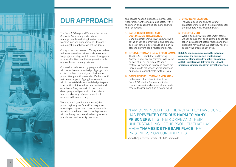Our service has five distinct elements, each vitally important to maintaining safety within the prison and supporting people to change their behaviour.

### **1. EARLY IDENTIFICATION AND COORDINATED INTELLIGENCE**

Gang practitioners work with new arrivals to the prison to identify risks and potential points of tension, before putting a plan in place to prevent gang-related incidents.

- **2. INTERVENTION AND R.O.A.D PROGRAMME**  The R.O.A.D (Rehabilitation Offering Another Direction) programme is delivered as part of all our services. We use a restorative approach to provide space for individuals to reflect on their experiences and to set prosocial goals for their lives.
- **3. CONFLICT RESOLUTION AND MEDIATION** In the event of a violent incident, our Catch22 Custodial Service facilitates mediation sessions between all parties to resolve the issue and find a way forward.

#### **4. ONGOING 1:1 SESSIONS**

Individual sessions allow the gang practitioners to keep an eye on progress for the prisoners we are working with.

#### **5. RESETTLEMENT**

Working closely with resettlement teams, we can ensure that gang-related issues are taken into account before release and that prisoners have all the support they need to sustain the progress achieved.

**Catch22 can be commissioned to deliver all aspects of the service as a whole, but we also offer elements individually. For example, at HMP Brinsford we delivered the R.O.A.D programme independently of any other service.** 

"I AM CONVINCED THAT THE WORK THEY HAVE DONE HAS **PREVENTED SERIOUS HARM TO MANY PRISONERS.** IT IS THEIR DRIVE AND THEIR UNDERSTANDING OF THE PROBLEM THAT HAS MADE **THAMESIDE THE SAFE PLACE** THAT PRISONERS NOW CONSIDER IT IS"

John Biggin, former Director of HMP Thameside



# **OUR APPROACH**

The Catch22 Gangs and Violence Reduction Custodial Service supports prison management by reducing the risk posed by gang-involved prisoners, and ultimately, reducing the number of violent incidents.

Our approach focuses on offering alternatives to the supposed security and status offered by gangs, a strategy which research suggests is more effective than the suppression-only approach used in many prisons.

Our service is delivered by gang practitioners with expertise and knowledge of gangs, their context in the community, and inside the prison. Gang practitioners identify the specific nature and impact of gang involvement within the establishment and design targeted interventions informed by local context and experience. They work within the prison, developing intelligence with other prison teams and arranging resettlement with services in the community.

Working within, yet independent of, the prison regime gives Catch22 a unique and advantageous position. It means we're able to build trusted relationships with prisoners, without being the ones who directly enforce punishment and security measures.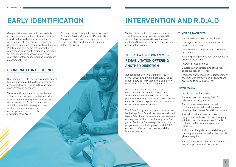# **EARLY IDENTIFICATION**

Gang practitioners meet with new arrivals at the prison to establish potential conflicts, introduce themselves and start to build a relationship with that person. This occurs during the induction process, within 48 hours. Practitioners gain sufficient information to recommend appropriate residential locations for a prisoner and necessary movement restriction, before an individual is moved onto a permanent wing.

Our teams work closely with Police, National Probation Service, Community Rehabilitation Companies, Court and other agencies to plan in advance when any high profile nominal enters the prison.

# **INTERVENTION AND R.O.A.D**

We tailor interventions to each prisoner's specific needs. Gang practitioners build trust with each prisoner in order to address and challenge the underlying issues causing their antisocial behaviour.

# **THE R.O.A.D PROGRAMME - REHABILITATION OFFERING ANOTHER DIRECTION**

Rehabilitation Offering Another Direction (R.O.A.D) was designed and created by gang practitioners at HMP Thameside, and is now used across all our custodial gangs services.

R.O.A.D encourages participants to evaluate their past choices and address the consequences of their behaviour. The programme seeks to encourage participants to consider alternative pro-social life options and opportunities moving forward.

The R.O.A.D programme content is supported by findings from Catch22 research conducted by our Bristol team, as well as an assessment of the prison and prisoner focus groups. We gather feedback from every cohort on how the programme could be improved, and R.O.A.D evolves to reflect current issues and the latest research.

### **WHAT R.O.A.D ACHIEVES**

- An alternative pro-social life direction
- Identifying positive relationships within existing social circles
- Improves communication skills in conflict situations
- Teaches participants to gain perspective in stressful situations
- Improves empathy skills
- Develops an understanding of the wider consequences of violence
- Increases awareness and understanding of the impact of stereotyping and how these are linked to decision making

### **HOW IT WORKS**

- Facilitated over four days
- Delivered to approximately 10 to 12 prisoners per programme
- Participants can self-refer or their involvement can be in their sentence planning objectives or Good Order reviews
- Any individual may take part in our programme but those with previous gang affiliation and those who have R.O.A.D included in their sentence plan are prioritised
- Attitudinal change is monitored throughout the programme and individual feedback is given as required
- Participants' behaviour is monitored before and after programme attendance

## **COORDINATED INTELLIGENCE**

Our teams work with the prison establishment by collaborating with key departments and agencies who are involved in the care and management of prisoners.

We work with senior management teams, violence reduction teams and all individuals involved in maintaining a safe and secure period in custody. Where required, we will deliver monthly training sessions to share our learnings and develop our programme, specific to the environment we are in.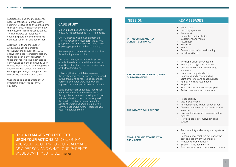Exercises are designed to challenge negative attitudes, improve 'active listening' skills, and to give participants the opportunity to challenge their own thinking, even in stressful situations. This also allows participants to challenge peers' behaviour towards victims, prison staff and each other.

At HMYOI Feltham, the level of attitudinal change monitored throughout the delivery of R.O.A.D shows that since its implementation, there has been a 64% reduction in those that report being motivated to carry weapons in the community upon release. Being mindful of the huge risks associated with people, particularly young people, carrying weapons, this measure is a considerable result.

Over the page is an example of our programme delivered at HMYOI Feltham.

## **SESSION KEY MESSAGES**

#### **INTRODUCTION AND KEY CONCEPTS OF R.O.A.D**

• Group rules • Learning agreement • Team work • Perception and attitudes • Judgement and morals **Awareness Behaviour** • Roles • Communication/ active listening • In-cell workbook

"**R.O.A.D MAKES YOU REFLECT UPON YOUR ACTIONS** AND QUESTION YOURSELF ABOUT WHO YOU REALLY ARE AS A PERSON AND WHAT YOUR PARENTS WOULD WANT YOU TO BE." Prisoner

#### **REFLECTING AND RE-EVALUATING OUR MOTIVATIONS**

• The ripple effect of our actions Identifying triggers for violence • Choices and options: reassessing a situation • Understanding friendships • Reasoning and understanding • Joint enterprise and consequences • Family roles and role models • Empathy • What is important to us as people? • Reflection on our own situations

**THE IMPACT OF OUR ACTIONS**

• Responsibility • Victim awareness • Perceptions and impact of behaviour • Discuss headlines on gang and/or youth violence • How are today's youth perceived in the media? • How do people get involved in gang culture?

**MOVING ON AND STAYING AWAY FROM CRIME** 

• Accountability and owning our regrets and past • Consequential thinking: evaluating the cost and benefit of your choices • Is violence ever justified? • Support in the community • Gang exit: support and resources to draw on

## **CASE STUDY**

Mike\* did not disclose any gang affiliation following his admission to HMP Thameside.

Shortly after he was moved on from the First Night Centre he was targeted by rival gang members on his wing. This was due to ongoing gang conflict in the community.

Ray attempted to enter Mike's cell and Ray threw boiling water on him.

Two other prisons, associates of Ray, stood outside the cell and shouted threats towards Mike. One of the other prisoners received a cut on the face from Mike.

Following the incident, Mike explained to the practitioners that he had felt threatened by the group and so reacted as described. Further disclosures were made which improved our intelligence on Mike's history.

Gang practitioners conducted meditation between all parties and they all talked through the actions and thinking which led to their behaviour. The prisoners agreed the incident had occurred as a result of a misunderstanding and a breakdown in communication. No further incidents have occurred between them.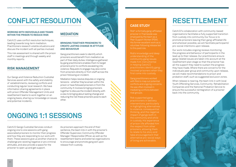#### **WORKING WITH INDIVIDUALS AND TEAMS WITHIN THE PRISON TO REDUCE RISK**

Catch22 uses conflict resolution techniques, leading towards long-term mediation. Practitioners research volatile situations and discuss the incident with all parties involved.

This risk assessment is shared with the prison staff in meetings and through weekly and monthly reports.

### **RISK MANAGEMENT**

Our Gangs and Violence Reduction Custodial Services assist with the safety and stability of establishments, reviewing conflicts and conducting regular local research. We have information sharing agreements in place with prison Offender Management Units and resettlement teams to work together on an ongoing basis, sharing our knowledge on issues and potential incidents.

## **MEDIATION**

### **BRINGING TOGETHER PRISONERS TO CREATE LASTING CHANGE IN ATTITUDE AND BEHAVIOUR**

Gang practitioners seek to identify which prisoners would benefit from mediation as part of their daily duties. Intelligence gathered by gang practitioners enables them to target prisoners prior to conflicts escalating into violence. Requests to engage may also come from prisoners directly or from staff across the prison following an incident.

Mediation helps resolve disputes or ongoing tensions - whether they've arisen within the prison or have followed prisoners in from the community. It involves bringing prisoners together to discuss the incident directly, with a view to bringing about lasting change and reducing the risk these prisoners pose to each other.

# **RESETTLEMENT**

Catch22's collaboration with community-based organisations facilitates a fully supported transition from custody into community. Our focus is to promote prisoners leaving their gang-affiliated life and wherever possible, we will facilitate participants' pro-social intentions upon release.

Our work includes ongoing reviews monitoring the progress and behaviour of participants in the lead up to their release. Our practitioners ensure gang-related issues are taken into account at the resettlement plan stage so that the prisoner has all the support they need to sustain the progress they have made. Where there are concerns for the individuals peer group and community upon release, we will make recommendations to prison and probation staff, such as suggested exclusion zones.

When release is nearing, the team link in with local Youth Offending Services, Community Rehabilitation Companies and the National Probation Service to ensure the successful reintegration of a prisoner back into the community.

## **CASE STUDY**

Rob\*, a formally gang-affiliated prisoner in Thameside was employed by the team as a Peer Support Worker (PSW). His former excellent work as a volunteer following release led to this paid role.

Rob's knowledge and deep understanding of the community gang issues made him instrumental in helping Catch22 practitioners identify ganginvolved prisoners when they first come into custody.

Gang practitioners worked with Rob to map out potential conflicts and ongoing concerns. He was often involved in mediating conflicts between rival groups.

Rob supported gang interventions, particularly in highlighting alternatives to violence, consequential thinking, and the negative impact of gangs both in in custody. His experience of prison life afforded him the respect from other prisoners, allowing them take encouragement that alternative pro-social ways of living are achievable.

Catch22 Gangs Custodial Services conduct ongoing one to one sessions with gangassociated prisoners to monitor their progress and how they are responding to our work with them. These sessions give us another chance to challenge pre-existing negative or pro criminal attitudes, and also provide a space for the prisoner to open up and get support.

As prisoners approach the end of their sentence, the team link in with the prisoner's Offender Supervisor, Community Offender Manager/ Responsible Officer, as well as the resettlement teams and external organisations to encourage and promote gang exit upon release from custody.

# **CONFLICT RESOLUTION**

# **ONGOING 1:1 SESSIONS**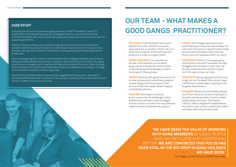# **OUR TEAM - WHAT MAKES A GOOD GANGS PRACTITIONER?**

- **• RELATABLE** Existing Gang Practitioners believe this is the number one quality required to be successful in their role. It is essential to interact and build trust with prisoners in order to support them.
- **• KNOWLEDGEABLE** It is imperitive to be well-informed and curious about gang culture and specific communities. Understanding the landscape is vital to working with these groups.
- **• PATIENT** Working with gang nominals is not a linear process and sometimes, progress is slow. Gang practitioners give it their all, even when the impact doesn't appear immediately obvious.
- **• RESILIENT** Working in a frontline prison service has its challenges. Gang practitioners are able to see the bigger picture and bounce back from any setbacks experienced by the people we support.

- **• HONEST** We manage expectations and avoid making promises we cannot keep. Our role within the prison is specific and limited and we have to be able to tell prisoners what is and isn't possible within our remit
- **• EXPERIENCED** Most of the people gang practitioners work with have been through struggles and hardship in their lives. We should understand this and the impact such life experiences can have.
- **• PASSIONATE** Being a gang practitioner is a tough job, but the belief that we can make a difference is what keeps us going on the toughest days at work.
- **• BALANCED** We are as comfortable talking to a Prison Governor as we are talking to a prisoner and we are able to build trusted relationships with each. Working for Catch22 offers a degree of independence, but there is also a duty to share information and keep staff and prisoners safe.

### **CASE STUDY**

Following the arrival of a prominent gang nominal at HMP Thameside, Catch22's practitioners interviewed the prisoner to establish who his current and historical conflicts have been with, and in which boroughs and areas, and how these were likely to cause issues for him.

Details of these conflicts were raised through the prison's security and movement systems, restricting rival prisoners from attending the same activity at the same time. However, during mass movement the prisoner was assaulted and hospitalised with a broken jaw.

While investigating this incident we discovered that rival gang members, one of whom had previously stabbed the prisoner in question, were currently in the prison. Our gang practitioners arranged a joint meeting with Security, Assistant Directors, Safer Custody, Violence Reduction and Care and Separation teams to implement a strategy to manage this risk whilst a transfer could be organised.

Catch22 recommended that movements be staggered for this prisoner, and that he should be offered escorted movements. This was put in place by the prison teams and no further incidents have occurred since.

> "**WE HAVE SEEN THE VALUE OF WORKING WITH GANG MEMBERS** BY USING PEOPLE WHO CAN GET CLOSE AND UNDERSTAND BETTER. **WE ARE CONVINCED THIS FOCUS HAS BEEN VITAL IN THE BIG DROP IN GANG VIOLENCE WE HAVE SEEN**."

John Biggin, former Director of HMP Thameside